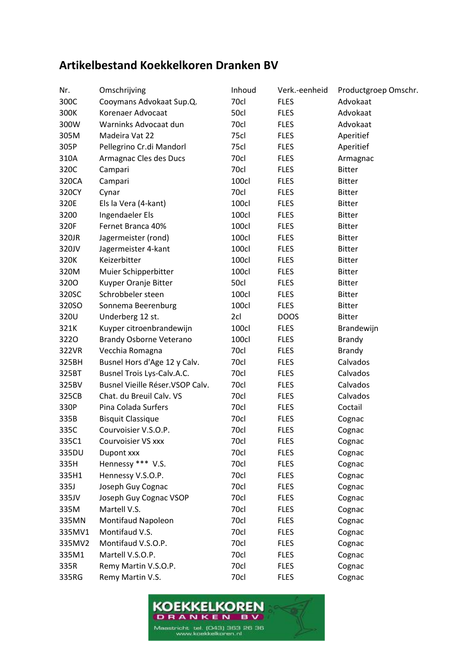## **Artikelbestand Koekkelkoren Dranken BV**

| Nr.    | Omschrijving                     | Inhoud | Verk.-eenheid | Productgroep Omschr. |
|--------|----------------------------------|--------|---------------|----------------------|
| 300C   | Cooymans Advokaat Sup.Q.         | 70cl   | <b>FLES</b>   | Advokaat             |
| 300K   | Korenaer Advocaat                | 50cl   | <b>FLES</b>   | Advokaat             |
| 300W   | Warninks Advocaat dun            | 70cl   | <b>FLES</b>   | Advokaat             |
| 305M   | Madeira Vat 22                   | 75cl   | <b>FLES</b>   | Aperitief            |
| 305P   | Pellegrino Cr.di Mandorl         | 75cl   | <b>FLES</b>   | Aperitief            |
| 310A   | Armagnac Cles des Ducs           | 70cl   | <b>FLES</b>   | Armagnac             |
| 320C   | Campari                          | 70cl   | <b>FLES</b>   | <b>Bitter</b>        |
| 320CA  | Campari                          | 100cl  | <b>FLES</b>   | <b>Bitter</b>        |
| 320CY  | Cynar                            | 70cl   | <b>FLES</b>   | <b>Bitter</b>        |
| 320E   | Els la Vera (4-kant)             | 100cl  | <b>FLES</b>   | <b>Bitter</b>        |
| 3200   | Ingendaeler Els                  | 100cl  | <b>FLES</b>   | <b>Bitter</b>        |
| 320F   | Fernet Branca 40%                | 100cl  | <b>FLES</b>   | <b>Bitter</b>        |
| 320JR  | Jagermeister (rond)              | 100cl  | <b>FLES</b>   | <b>Bitter</b>        |
| 320JV  | Jagermeister 4-kant              | 100cl  | <b>FLES</b>   | <b>Bitter</b>        |
| 320K   | Keizerbitter                     | 100cl  | <b>FLES</b>   | <b>Bitter</b>        |
| 320M   | Muier Schipperbitter             | 100cl  | <b>FLES</b>   | <b>Bitter</b>        |
| 3200   | Kuyper Oranje Bitter             | 50cl   | <b>FLES</b>   | <b>Bitter</b>        |
| 320SC  | Schrobbeler steen                | 100cl  | <b>FLES</b>   | <b>Bitter</b>        |
| 320SO  | Sonnema Beerenburg               | 100cl  | <b>FLES</b>   | <b>Bitter</b>        |
| 320U   | Underberg 12 st.                 | 2cl    | <b>DOOS</b>   | <b>Bitter</b>        |
| 321K   | Kuyper citroenbrandewijn         | 100cl  | <b>FLES</b>   | Brandewijn           |
| 3220   | Brandy Osborne Veterano          | 100cl  | <b>FLES</b>   | <b>Brandy</b>        |
| 322VR  | Vecchia Romagna                  | 70cl   | <b>FLES</b>   | <b>Brandy</b>        |
| 325BH  | Busnel Hors d'Age 12 y Calv.     | 70cl   | <b>FLES</b>   | Calvados             |
| 325BT  | Busnel Trois Lys-Calv.A.C.       | 70cl   | <b>FLES</b>   | Calvados             |
| 325BV  | Busnel Vieille Réser. VSOP Calv. | 70cl   | <b>FLES</b>   | Calvados             |
| 325CB  | Chat. du Breuil Calv. VS         | 70cl   | <b>FLES</b>   | Calvados             |
| 330P   | Pina Colada Surfers              | 70cl   | <b>FLES</b>   | Coctail              |
| 335B   | <b>Bisquit Classique</b>         | 70cl   | <b>FLES</b>   | Cognac               |
| 335C   | Courvoisier V.S.O.P.             | 70cl   | <b>FLES</b>   | Cognac               |
| 335C1  | Courvoisier VS xxx               | 70cl   | <b>FLES</b>   | Cognac               |
| 335DU  | Dupont xxx                       | 70cl   | <b>FLES</b>   | Cognac               |
| 335H   | Hennessy *** V.S.                | 70cl   | <b>FLES</b>   | Cognac               |
| 335H1  | Hennessy V.S.O.P.                | 70cl   | <b>FLES</b>   | Cognac               |
| 335J   | Joseph Guy Cognac                | 70cl   | <b>FLES</b>   | Cognac               |
| 335JV  | Joseph Guy Cognac VSOP           | 70cl   | <b>FLES</b>   | Cognac               |
| 335M   | Martell V.S.                     | 70cl   | <b>FLES</b>   | Cognac               |
| 335MN  | <b>Montifaud Napoleon</b>        | 70cl   | <b>FLES</b>   | Cognac               |
| 335MV1 | Montifaud V.S.                   | 70cl   | <b>FLES</b>   | Cognac               |
| 335MV2 | Montifaud V.S.O.P.               | 70cl   | <b>FLES</b>   | Cognac               |
| 335M1  | Martell V.S.O.P.                 | 70cl   | <b>FLES</b>   | Cognac               |
| 335R   | Remy Martin V.S.O.P.             | 70cl   | <b>FLES</b>   | Cognac               |
| 335RG  | Remy Martin V.S.                 | 70cl   | <b>FLES</b>   | Cognac               |

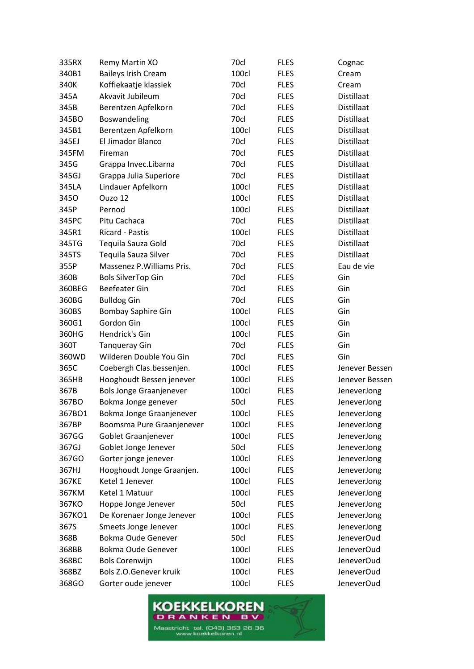| 335RX  | Remy Martin XO                 | 70cl  | <b>FLES</b> | Cognac            |
|--------|--------------------------------|-------|-------------|-------------------|
| 340B1  | <b>Baileys Irish Cream</b>     | 100cl | <b>FLES</b> | Cream             |
| 340K   | Koffiekaatje klassiek          | 70cl  | <b>FLES</b> | Cream             |
| 345A   | Akvavit Jubileum               | 70cl  | <b>FLES</b> | Distillaat        |
| 345B   | Berentzen Apfelkorn            | 70cl  | <b>FLES</b> | Distillaat        |
| 345BO  | Boswandeling                   | 70cl  | <b>FLES</b> | Distillaat        |
| 345B1  | Berentzen Apfelkorn            | 100cl | <b>FLES</b> | Distillaat        |
| 345EJ  | El Jimador Blanco              | 70cl  | <b>FLES</b> | Distillaat        |
| 345FM  | Fireman                        | 70cl  | <b>FLES</b> | Distillaat        |
| 345G   | Grappa Invec.Libarna           | 70cl  | <b>FLES</b> | Distillaat        |
| 345GJ  | Grappa Julia Superiore         | 70cl  | <b>FLES</b> | Distillaat        |
| 345LA  | Lindauer Apfelkorn             | 100cl | <b>FLES</b> | Distillaat        |
| 3450   | Ouzo 12                        | 100cl | <b>FLES</b> | Distillaat        |
| 345P   | Pernod                         | 100cl | <b>FLES</b> | Distillaat        |
| 345PC  | Pitu Cachaca                   | 70cl  | <b>FLES</b> | Distillaat        |
| 345R1  | <b>Ricard - Pastis</b>         | 100cl | <b>FLES</b> | Distillaat        |
| 345TG  | Tequila Sauza Gold             | 70cl  | <b>FLES</b> | Distillaat        |
| 345TS  | Tequila Sauza Silver           | 70cl  | <b>FLES</b> | <b>Distillaat</b> |
| 355P   | Massenez P. Williams Pris.     | 70cl  | <b>FLES</b> | Eau de vie        |
| 360B   | <b>Bols SilverTop Gin</b>      | 70cl  | <b>FLES</b> | Gin               |
| 360BEG | <b>Beefeater Gin</b>           | 70cl  | <b>FLES</b> | Gin               |
| 360BG  | <b>Bulldog Gin</b>             | 70cl  | <b>FLES</b> | Gin               |
| 360BS  | <b>Bombay Saphire Gin</b>      | 100cl | <b>FLES</b> | Gin               |
| 360G1  | Gordon Gin                     | 100cl | <b>FLES</b> | Gin               |
| 360HG  | Hendrick's Gin                 | 100cl | <b>FLES</b> | Gin               |
| 360T   | <b>Tanqueray Gin</b>           | 70cl  | <b>FLES</b> | Gin               |
| 360WD  | Wilderen Double You Gin        | 70cl  | <b>FLES</b> | Gin               |
| 365C   | Coebergh Clas.bessenjen.       | 100cl | <b>FLES</b> | Jenever Bessen    |
| 365HB  | Hooghoudt Bessen jenever       | 100cl | <b>FLES</b> | Jenever Bessen    |
| 367B   | <b>Bols Jonge Graanjenever</b> | 100cl | <b>FLES</b> | JeneverJong       |
| 367BO  | Bokma Jonge genever            | 50cl  | <b>FLES</b> | JeneverJong       |
| 367BO1 | Bokma Jonge Graanjenever       | 100cl | <b>FLES</b> | JeneverJong       |
| 367BP  | Boomsma Pure Graanjenever      | 100cl | <b>FLES</b> | JeneverJong       |
| 367GG  | Goblet Graanjenever            | 100cl | <b>FLES</b> | JeneverJong       |
| 367GJ  | Goblet Jonge Jenever           | 50cl  | <b>FLES</b> | JeneverJong       |
| 367GO  | Gorter jonge jenever           | 100cl | <b>FLES</b> | JeneverJong       |
| 367HJ  | Hooghoudt Jonge Graanjen.      | 100cl | <b>FLES</b> | JeneverJong       |
| 367KE  | Ketel 1 Jenever                | 100cl | <b>FLES</b> | JeneverJong       |
| 367KM  | Ketel 1 Matuur                 | 100cl | <b>FLES</b> | JeneverJong       |
| 367KO  | Hoppe Jonge Jenever            | 50cl  | <b>FLES</b> | JeneverJong       |
| 367KO1 | De Korenaer Jonge Jenever      | 100cl | <b>FLES</b> | JeneverJong       |
| 367S   | Smeets Jonge Jenever           | 100cl | <b>FLES</b> | JeneverJong       |
| 368B   | Bokma Oude Genever             | 50cl  | <b>FLES</b> | JeneverOud        |
| 368BB  | Bokma Oude Genever             | 100cl | <b>FLES</b> | JeneverOud        |
| 368BC  | <b>Bols Corenwijn</b>          | 100cl | <b>FLES</b> | JeneverOud        |
| 368BZ  | Bols Z.O.Genever kruik         | 100cl | <b>FLES</b> | JeneverOud        |
| 368GO  | Gorter oude jenever            | 100cl | <b>FLES</b> | JeneverOud        |

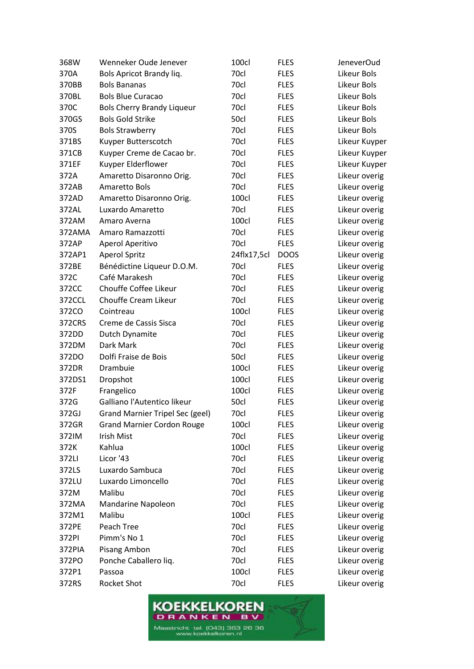| 368W   | Wenneker Oude Jenever                  | 100cl       | <b>FLES</b> | <b>JeneverOud</b> |
|--------|----------------------------------------|-------------|-------------|-------------------|
| 370A   | Bols Apricot Brandy liq.               | 70cl        | <b>FLES</b> | Likeur Bols       |
| 370BB  | <b>Bols Bananas</b>                    | 70cl        | <b>FLES</b> | Likeur Bols       |
| 370BL  | <b>Bols Blue Curacao</b>               | 70cl        | <b>FLES</b> | Likeur Bols       |
| 370C   | <b>Bols Cherry Brandy Liqueur</b>      | 70cl        | <b>FLES</b> | Likeur Bols       |
| 370GS  | <b>Bols Gold Strike</b>                | 50cl        | <b>FLES</b> | Likeur Bols       |
| 370S   | <b>Bols Strawberry</b>                 | 70cl        | <b>FLES</b> | Likeur Bols       |
| 371BS  | Kuyper Butterscotch                    | 70cl        | <b>FLES</b> | Likeur Kuyper     |
| 371CB  | Kuyper Creme de Cacao br.              | 70cl        | <b>FLES</b> | Likeur Kuyper     |
| 371EF  | Kuyper Elderflower                     | 70cl        | <b>FLES</b> | Likeur Kuyper     |
| 372A   | Amaretto Disaronno Orig.               | 70cl        | <b>FLES</b> | Likeur overig     |
| 372AB  | Amaretto Bols                          | 70cl        | <b>FLES</b> | Likeur overig     |
| 372AD  | Amaretto Disaronno Orig.               | 100cl       | <b>FLES</b> | Likeur overig     |
| 372AL  | Luxardo Amaretto                       | 70cl        | <b>FLES</b> | Likeur overig     |
| 372AM  | Amaro Averna                           | 100cl       | <b>FLES</b> | Likeur overig     |
| 372AMA | Amaro Ramazzotti                       | 70cl        | <b>FLES</b> | Likeur overig     |
| 372AP  | Aperol Aperitivo                       | 70cl        | <b>FLES</b> | Likeur overig     |
| 372AP1 | <b>Aperol Spritz</b>                   | 24flx17,5cl | <b>DOOS</b> | Likeur overig     |
| 372BE  | Bénédictine Liqueur D.O.M.             | 70cl        | <b>FLES</b> | Likeur overig     |
| 372C   | Café Marakesh                          | 70cl        | <b>FLES</b> | Likeur overig     |
| 372CC  | Chouffe Coffee Likeur                  | 70cl        | <b>FLES</b> | Likeur overig     |
| 372CCL | Chouffe Cream Likeur                   | 70cl        | <b>FLES</b> | Likeur overig     |
| 372CO  | Cointreau                              | 100cl       | <b>FLES</b> | Likeur overig     |
| 372CRS | Creme de Cassis Sisca                  | 70cl        | <b>FLES</b> | Likeur overig     |
| 372DD  | Dutch Dynamite                         | 70cl        | <b>FLES</b> | Likeur overig     |
| 372DM  | Dark Mark                              | 70cl        | <b>FLES</b> | Likeur overig     |
| 372DO  | Dolfi Fraise de Bois                   | 50cl        | <b>FLES</b> | Likeur overig     |
| 372DR  | Drambuie                               | 100cl       | <b>FLES</b> | Likeur overig     |
| 372DS1 | Dropshot                               | 100cl       | <b>FLES</b> | Likeur overig     |
| 372F   | Frangelico                             | 100cl       | <b>FLES</b> | Likeur overig     |
| 372G   | Galliano l'Autentico likeur            | 50cl        | <b>FLES</b> | Likeur overig     |
| 372GJ  | <b>Grand Marnier Tripel Sec (geel)</b> | 70cl        | <b>FLES</b> | Likeur overig     |
| 372GR  | <b>Grand Marnier Cordon Rouge</b>      | 100cl       | <b>FLES</b> | Likeur overig     |
| 372IM  | Irish Mist                             | 70cl        | <b>FLES</b> | Likeur overig     |
| 372K   | Kahlua                                 | 100cl       | <b>FLES</b> | Likeur overig     |
| 372LI  | Licor '43                              | 70cl        | <b>FLES</b> | Likeur overig     |
| 372LS  | Luxardo Sambuca                        | 70cl        | <b>FLES</b> | Likeur overig     |
| 372LU  | Luxardo Limoncello                     | 70cl        | <b>FLES</b> | Likeur overig     |
| 372M   | Malibu                                 | 70cl        | <b>FLES</b> | Likeur overig     |
| 372MA  | Mandarine Napoleon                     | 70cl        | <b>FLES</b> | Likeur overig     |
| 372M1  | Malibu                                 | 100cl       | <b>FLES</b> | Likeur overig     |
| 372PE  | Peach Tree                             | 70cl        | <b>FLES</b> | Likeur overig     |
| 372PI  | Pimm's No 1                            | 70cl        | <b>FLES</b> | Likeur overig     |
| 372PIA | Pisang Ambon                           | 70cl        | <b>FLES</b> | Likeur overig     |
| 372PO  | Ponche Caballero liq.                  | 70cl        | <b>FLES</b> | Likeur overig     |
| 372P1  | Passoa                                 | 100cl       | <b>FLES</b> | Likeur overig     |
| 372RS  | Rocket Shot                            | 70cl        | <b>FLES</b> | Likeur overig     |

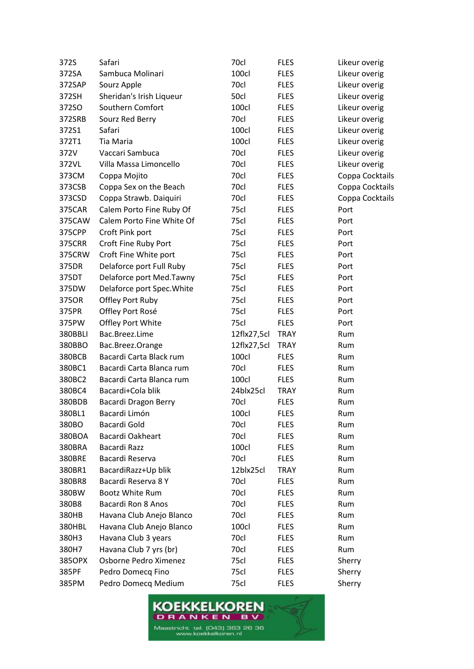| 372S          | Safari                     | 70cl        | <b>FLES</b> | Likeur overig   |
|---------------|----------------------------|-------------|-------------|-----------------|
| 372SA         | Sambuca Molinari           | 100cl       | <b>FLES</b> | Likeur overig   |
| 372SAP        | Sourz Apple                | 70cl        | <b>FLES</b> | Likeur overig   |
| 372SH         | Sheridan's Irish Liqueur   | 50cl        | <b>FLES</b> | Likeur overig   |
| 372SO         | Southern Comfort           | 100cl       | <b>FLES</b> | Likeur overig   |
| 372SRB        | Sourz Red Berry            | 70cl        | <b>FLES</b> | Likeur overig   |
| 372S1         | Safari                     | 100cl       | <b>FLES</b> | Likeur overig   |
| 372T1         | Tia Maria                  | 100cl       | <b>FLES</b> | Likeur overig   |
| 372V          | Vaccari Sambuca            | 70cl        | <b>FLES</b> | Likeur overig   |
| 372VL         | Villa Massa Limoncello     | 70cl        | <b>FLES</b> | Likeur overig   |
| 373CM         | Coppa Mojito               | 70cl        | <b>FLES</b> | Coppa Cocktails |
| 373CSB        | Coppa Sex on the Beach     | 70cl        | <b>FLES</b> | Coppa Cocktails |
| 373CSD        | Coppa Strawb. Daiquiri     | 70cl        | <b>FLES</b> | Coppa Cocktails |
| 375CAR        | Calem Porto Fine Ruby Of   | 75cl        | <b>FLES</b> | Port            |
| 375CAW        | Calem Porto Fine White Of  | 75cl        | <b>FLES</b> | Port            |
| 375CPP        | Croft Pink port            | 75cl        | <b>FLES</b> | Port            |
| <b>375CRR</b> | Croft Fine Ruby Port       | 75cl        | <b>FLES</b> | Port            |
| 375CRW        | Croft Fine White port      | 75cl        | <b>FLES</b> | Port            |
| 375DR         | Delaforce port Full Ruby   | 75cl        | <b>FLES</b> | Port            |
| 375DT         | Delaforce port Med.Tawny   | 75cl        | <b>FLES</b> | Port            |
| 375DW         | Delaforce port Spec. White | 75cl        | <b>FLES</b> | Port            |
| 375OR         | Offley Port Ruby           | 75cl        | <b>FLES</b> | Port            |
| 375PR         | Offley Port Rosé           | 75cl        | <b>FLES</b> | Port            |
| 375PW         | Offley Port White          | 75cl        | <b>FLES</b> | Port            |
| 380BBLI       | Bac.Breez.Lime             | 12flx27,5cl | <b>TRAY</b> | Rum             |
| 380BBO        | Bac.Breez.Orange           | 12flx27,5cl | <b>TRAY</b> | Rum             |
| 380BCB        | Bacardi Carta Black rum    | 100cl       | <b>FLES</b> | Rum             |
| 380BC1        | Bacardi Carta Blanca rum   | 70cl        | <b>FLES</b> | Rum             |
| 380BC2        | Bacardi Carta Blanca rum   | 100cl       | <b>FLES</b> | Rum             |
| 380BC4        | Bacardi+Cola blik          | 24blx25cl   | <b>TRAY</b> | Rum             |
| 380BDB        | Bacardi Dragon Berry       | 70cl        | <b>FLES</b> | Rum             |
| 380BL1        | Bacardi Limón              | 100cl       | <b>FLES</b> | Rum             |
| 380BO         | Bacardi Gold               | 70cl        | <b>FLES</b> | Rum             |
| 380BOA        | Bacardi Oakheart           | 70cl        | <b>FLES</b> | Rum             |
| 380BRA        | Bacardi Razz               | 100cl       | <b>FLES</b> | Rum             |
| <b>380BRE</b> | Bacardi Reserva            | 70cl        | <b>FLES</b> | Rum             |
| 380BR1        | BacardiRazz+Up blik        | 12blx25cl   | <b>TRAY</b> | Rum             |
| 380BR8        | Bacardi Reserva 8 Y        | 70cl        | <b>FLES</b> | Rum             |
| 380BW         | <b>Bootz White Rum</b>     | 70cl        | <b>FLES</b> | Rum             |
| 380B8         | Bacardi Ron 8 Anos         | 70cl        | <b>FLES</b> | Rum             |
| 380HB         | Havana Club Anejo Blanco   | 70cl        | <b>FLES</b> | Rum             |
| 380HBL        | Havana Club Anejo Blanco   | 100cl       | <b>FLES</b> | Rum             |
| 380H3         | Havana Club 3 years        | 70cl        | <b>FLES</b> | Rum             |
| 380H7         | Havana Club 7 yrs (br)     | 70cl        | <b>FLES</b> | Rum             |
| 385OPX        | Osborne Pedro Ximenez      | 75cl        | <b>FLES</b> | Sherry          |
| 385PF         | Pedro Domecq Fino          | 75cl        | <b>FLES</b> | Sherry          |
| 385PM         | Pedro Domecq Medium        | 75cl        | <b>FLES</b> | Sherry          |

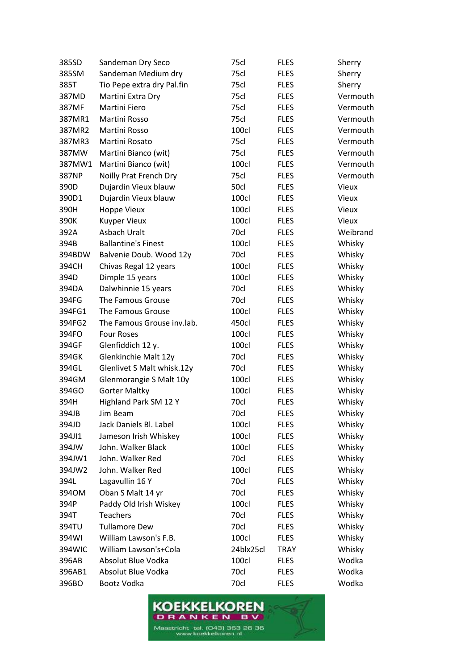| 385SD  | Sandeman Dry Seco          | 75cl      | <b>FLES</b> | Sherry       |
|--------|----------------------------|-----------|-------------|--------------|
| 385SM  | Sandeman Medium dry        | 75cl      | <b>FLES</b> | Sherry       |
| 385T   | Tio Pepe extra dry Pal.fin | 75cl      | <b>FLES</b> | Sherry       |
| 387MD  | Martini Extra Dry          | 75cl      | <b>FLES</b> | Vermouth     |
| 387MF  | <b>Martini Fiero</b>       | 75cl      | <b>FLES</b> | Vermouth     |
| 387MR1 | Martini Rosso              | 75cl      | <b>FLES</b> | Vermouth     |
| 387MR2 | Martini Rosso              | 100cl     | <b>FLES</b> | Vermouth     |
| 387MR3 | Martini Rosato             | 75cl      | <b>FLES</b> | Vermouth     |
| 387MW  | Martini Bianco (wit)       | 75cl      | <b>FLES</b> | Vermouth     |
| 387MW1 | Martini Bianco (wit)       | 100cl     | <b>FLES</b> | Vermouth     |
| 387NP  | Noilly Prat French Dry     | 75cl      | <b>FLES</b> | Vermouth     |
| 390D   | Dujardin Vieux blauw       | 50cl      | <b>FLES</b> | <b>Vieux</b> |
| 390D1  | Dujardin Vieux blauw       | 100cl     | <b>FLES</b> | <b>Vieux</b> |
| 390H   | Hoppe Vieux                | 100cl     | <b>FLES</b> | <b>Vieux</b> |
| 390K   | <b>Kuyper Vieux</b>        | 100cl     | <b>FLES</b> | Vieux        |
| 392A   | Asbach Uralt               | 70cl      | <b>FLES</b> | Weibrand     |
| 394B   | <b>Ballantine's Finest</b> | 100cl     | <b>FLES</b> | Whisky       |
| 394BDW | Balvenie Doub. Wood 12y    | 70cl      | <b>FLES</b> | Whisky       |
| 394CH  | Chivas Regal 12 years      | 100cl     | <b>FLES</b> | Whisky       |
| 394D   | Dimple 15 years            | 100cl     | <b>FLES</b> | Whisky       |
| 394DA  | Dalwhinnie 15 years        | 70cl      | <b>FLES</b> | Whisky       |
| 394FG  | The Famous Grouse          | 70cl      | <b>FLES</b> | Whisky       |
| 394FG1 | The Famous Grouse          | 100cl     | <b>FLES</b> | Whisky       |
| 394FG2 | The Famous Grouse inv.lab. | 450cl     | <b>FLES</b> | Whisky       |
| 394FO  | <b>Four Roses</b>          | 100cl     | <b>FLES</b> | Whisky       |
| 394GF  | Glenfiddich 12 y.          | 100cl     | <b>FLES</b> | Whisky       |
| 394GK  | Glenkinchie Malt 12y       | 70cl      | <b>FLES</b> | Whisky       |
| 394GL  | Glenlivet S Malt whisk.12y | 70cl      | <b>FLES</b> | Whisky       |
| 394GM  | Glenmorangie S Malt 10y    | 100cl     | <b>FLES</b> | Whisky       |
| 394GO  | <b>Gorter Maltky</b>       | 100cl     | <b>FLES</b> | Whisky       |
| 394H   | Highland Park SM 12 Y      | 70cl      | <b>FLES</b> | Whisky       |
| 394JB  | Jim Beam                   | 70cl      | <b>FLES</b> | Whisky       |
| 394JD  | Jack Daniels Bl. Label     | 100cl     | <b>FLES</b> | Whisky       |
| 394JI1 | Jameson Irish Whiskey      | 100cl     | <b>FLES</b> | Whisky       |
| 394JW  | John. Walker Black         | 100cl     | <b>FLES</b> | Whisky       |
| 394JW1 | John. Walker Red           | 70cl      | <b>FLES</b> | Whisky       |
| 394JW2 | John. Walker Red           | 100cl     | <b>FLES</b> | Whisky       |
| 394L   | Lagavullin 16 Y            | 70cl      | <b>FLES</b> | Whisky       |
| 3940M  | Oban S Malt 14 yr          | 70cl      | <b>FLES</b> | Whisky       |
| 394P   | Paddy Old Irish Wiskey     | 100cl     | <b>FLES</b> | Whisky       |
| 394T   | <b>Teachers</b>            | 70cl      | <b>FLES</b> | Whisky       |
| 394TU  | <b>Tullamore Dew</b>       | 70cl      | <b>FLES</b> | Whisky       |
| 394WI  | William Lawson's F.B.      | 100cl     | <b>FLES</b> | Whisky       |
| 394WIC | William Lawson's+Cola      | 24blx25cl | <b>TRAY</b> | Whisky       |
| 396AB  | Absolut Blue Vodka         | 100cl     | <b>FLES</b> | Wodka        |
| 396AB1 | Absolut Blue Vodka         | 70cl      | <b>FLES</b> | Wodka        |
| 396BO  | Bootz Vodka                | 70cl      | <b>FLES</b> | Wodka        |